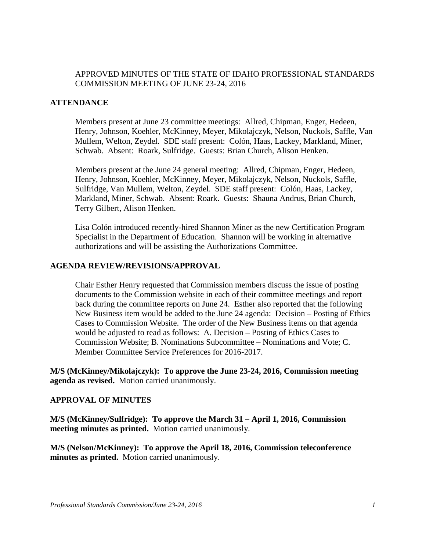## APPROVED MINUTES OF THE STATE OF IDAHO PROFESSIONAL STANDARDS COMMISSION MEETING OF JUNE 23-24, 2016

#### **ATTENDANCE**

Members present at June 23 committee meetings: Allred, Chipman, Enger, Hedeen, Henry, Johnson, Koehler, McKinney, Meyer, Mikolajczyk, Nelson, Nuckols, Saffle, Van Mullem, Welton, Zeydel. SDE staff present: Colón, Haas, Lackey, Markland, Miner, Schwab. Absent: Roark, Sulfridge. Guests: Brian Church, Alison Henken.

Members present at the June 24 general meeting: Allred, Chipman, Enger, Hedeen, Henry, Johnson, Koehler, McKinney, Meyer, Mikolajczyk, Nelson, Nuckols, Saffle, Sulfridge, Van Mullem, Welton, Zeydel. SDE staff present: Colón, Haas, Lackey, Markland, Miner, Schwab. Absent: Roark. Guests: Shauna Andrus, Brian Church, Terry Gilbert, Alison Henken.

Lisa Colón introduced recently-hired Shannon Miner as the new Certification Program Specialist in the Department of Education. Shannon will be working in alternative authorizations and will be assisting the Authorizations Committee.

#### **AGENDA REVIEW/REVISIONS/APPROVAL**

Chair Esther Henry requested that Commission members discuss the issue of posting documents to the Commission website in each of their committee meetings and report back during the committee reports on June 24. Esther also reported that the following New Business item would be added to the June 24 agenda: Decision – Posting of Ethics Cases to Commission Website. The order of the New Business items on that agenda would be adjusted to read as follows: A. Decision – Posting of Ethics Cases to Commission Website; B. Nominations Subcommittee – Nominations and Vote; C. Member Committee Service Preferences for 2016-2017.

**M/S (McKinney/Mikolajczyk): To approve the June 23-24, 2016, Commission meeting agenda as revised.** Motion carried unanimously.

#### **APPROVAL OF MINUTES**

**M/S (McKinney/Sulfridge): To approve the March 31 – April 1, 2016, Commission meeting minutes as printed.** Motion carried unanimously.

**M/S (Nelson/McKinney): To approve the April 18, 2016, Commission teleconference minutes as printed.** Motion carried unanimously.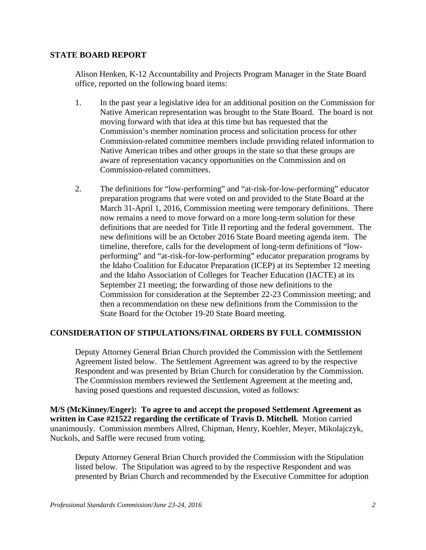#### **STATE BOARD REPORT**

Alison Henken, K-12 Accountability and Projects Program Manager in the State Board office, reported on the following board items:

- 1. In the past year a legislative idea for an additional position on the Commission for Native American representation was brought to the State Board. The board is not moving forward with that idea at this time but has requested that the Commission's member nomination process and solicitation process for other Commission-related committee members include providing related information to Native American tribes and other groups in the state so that these groups are aware of representation vacancy opportunities on the Commission and on Commission-related committees.
- 2. The definitions for "low-performing" and "at-risk-for-low-performing" educator preparation programs that were voted on and provided to the State Board at the March 31-April 1, 2016, Commission meeting were temporary definitions. There now remains a need to move forward on a more long-term solution for these definitions that are needed for Title II reporting and the federal government. The new definitions will be an October 2016 State Board meeting agenda item. The timeline, therefore, calls for the development of long-term definitions of "lowperforming" and "at-risk-for-low-performing" educator preparation programs by the Idaho Coalition for Educator Preparation (ICEP) at its September 12 meeting and the Idaho Association of Colleges for Teacher Education (IACTE) at its September 21 meeting; the forwarding of those new definitions to the Commission for consideration at the September 22-23 Commission meeting; and then a recommendation on these new definitions from the Commission to the State Board for the October 19-20 State Board meeting.

## **CONSIDERATION OF STIPULATIONS/FINAL ORDERS BY FULL COMMISSION**

Deputy Attorney General Brian Church provided the Commission with the Settlement Agreement listed below. The Settlement Agreement was agreed to by the respective Respondent and was presented by Brian Church for consideration by the Commission. The Commission members reviewed the Settlement Agreement at the meeting and, having posed questions and requested discussion, voted as follows:

**M/S (McKinney/Enger): To agree to and accept the proposed Settlement Agreement as written in Case #21522 regarding the certificate of Travis D. Mitchell.** Motion carried unanimously. Commission members Allred, Chipman, Henry, Koehler, Meyer, Mikolajczyk, Nuckols, and Saffle were recused from voting.

Deputy Attorney General Brian Church provided the Commission with the Stipulation listed below. The Stipulation was agreed to by the respective Respondent and was presented by Brian Church and recommended by the Executive Committee for adoption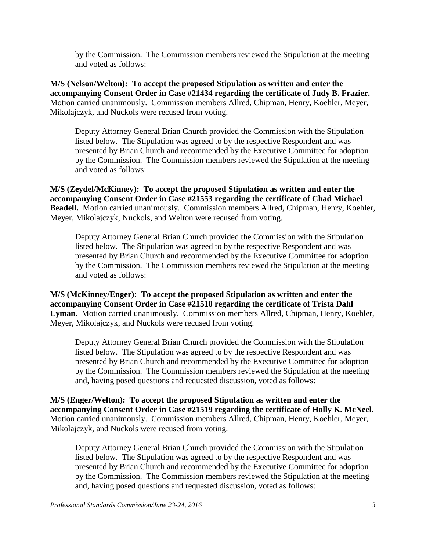by the Commission. The Commission members reviewed the Stipulation at the meeting and voted as follows:

**M/S (Nelson/Welton): To accept the proposed Stipulation as written and enter the accompanying Consent Order in Case #21434 regarding the certificate of Judy B. Frazier.**  Motion carried unanimously. Commission members Allred, Chipman, Henry, Koehler, Meyer, Mikolajczyk, and Nuckols were recused from voting.

Deputy Attorney General Brian Church provided the Commission with the Stipulation listed below. The Stipulation was agreed to by the respective Respondent and was presented by Brian Church and recommended by the Executive Committee for adoption by the Commission. The Commission members reviewed the Stipulation at the meeting and voted as follows:

**M/S (Zeydel/McKinney): To accept the proposed Stipulation as written and enter the accompanying Consent Order in Case #21553 regarding the certificate of Chad Michael Beadell.** Motion carried unanimously. Commission members Allred, Chipman, Henry, Koehler, Meyer, Mikolajczyk, Nuckols, and Welton were recused from voting.

Deputy Attorney General Brian Church provided the Commission with the Stipulation listed below. The Stipulation was agreed to by the respective Respondent and was presented by Brian Church and recommended by the Executive Committee for adoption by the Commission. The Commission members reviewed the Stipulation at the meeting and voted as follows:

**M/S (McKinney/Enger): To accept the proposed Stipulation as written and enter the accompanying Consent Order in Case #21510 regarding the certificate of Trista Dahl Lyman.** Motion carried unanimously. Commission members Allred, Chipman, Henry, Koehler, Meyer, Mikolajczyk, and Nuckols were recused from voting.

Deputy Attorney General Brian Church provided the Commission with the Stipulation listed below. The Stipulation was agreed to by the respective Respondent and was presented by Brian Church and recommended by the Executive Committee for adoption by the Commission. The Commission members reviewed the Stipulation at the meeting and, having posed questions and requested discussion, voted as follows:

**M/S (Enger/Welton): To accept the proposed Stipulation as written and enter the accompanying Consent Order in Case #21519 regarding the certificate of Holly K. McNeel.**  Motion carried unanimously. Commission members Allred, Chipman, Henry, Koehler, Meyer, Mikolajczyk, and Nuckols were recused from voting.

Deputy Attorney General Brian Church provided the Commission with the Stipulation listed below. The Stipulation was agreed to by the respective Respondent and was presented by Brian Church and recommended by the Executive Committee for adoption by the Commission. The Commission members reviewed the Stipulation at the meeting and, having posed questions and requested discussion, voted as follows: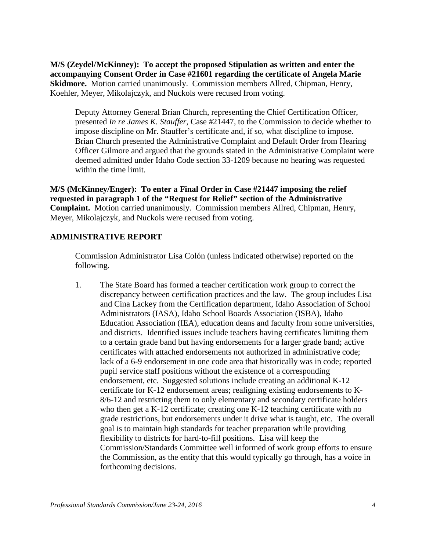**M/S (Zeydel/McKinney): To accept the proposed Stipulation as written and enter the accompanying Consent Order in Case #21601 regarding the certificate of Angela Marie Skidmore.** Motion carried unanimously. Commission members Allred, Chipman, Henry, Koehler, Meyer, Mikolajczyk, and Nuckols were recused from voting.

Deputy Attorney General Brian Church, representing the Chief Certification Officer, presented *In re James K. Stauffer*, Case #21447, to the Commission to decide whether to impose discipline on Mr. Stauffer's certificate and, if so, what discipline to impose. Brian Church presented the Administrative Complaint and Default Order from Hearing Officer Gilmore and argued that the grounds stated in the Administrative Complaint were deemed admitted under Idaho Code section 33-1209 because no hearing was requested within the time limit.

**M/S (McKinney/Enger): To enter a Final Order in Case #21447 imposing the relief requested in paragraph 1 of the "Request for Relief" section of the Administrative Complaint.** Motion carried unanimously. Commission members Allred, Chipman, Henry, Meyer, Mikolajczyk, and Nuckols were recused from voting.

#### **ADMINISTRATIVE REPORT**

Commission Administrator Lisa Colón (unless indicated otherwise) reported on the following.

1. The State Board has formed a teacher certification work group to correct the discrepancy between certification practices and the law. The group includes Lisa and Cina Lackey from the Certification department, Idaho Association of School Administrators (IASA), Idaho School Boards Association (ISBA), Idaho Education Association (IEA), education deans and faculty from some universities, and districts. Identified issues include teachers having certificates limiting them to a certain grade band but having endorsements for a larger grade band; active certificates with attached endorsements not authorized in administrative code; lack of a 6-9 endorsement in one code area that historically was in code; reported pupil service staff positions without the existence of a corresponding endorsement, etc. Suggested solutions include creating an additional K-12 certificate for K-12 endorsement areas; realigning existing endorsements to K-8/6-12 and restricting them to only elementary and secondary certificate holders who then get a K-12 certificate; creating one K-12 teaching certificate with no grade restrictions, but endorsements under it drive what is taught, etc. The overall goal is to maintain high standards for teacher preparation while providing flexibility to districts for hard-to-fill positions. Lisa will keep the Commission/Standards Committee well informed of work group efforts to ensure the Commission, as the entity that this would typically go through, has a voice in forthcoming decisions.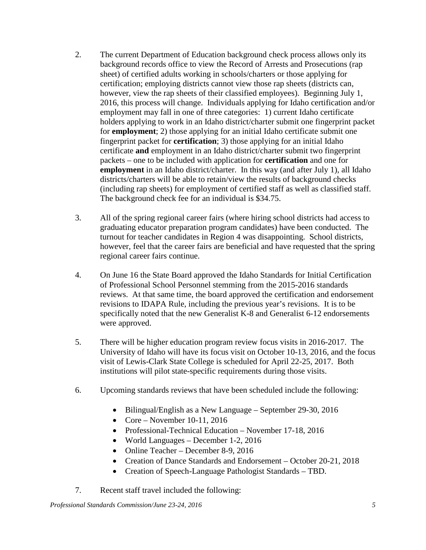- 2. The current Department of Education background check process allows only its background records office to view the Record of Arrests and Prosecutions (rap sheet) of certified adults working in schools/charters or those applying for certification; employing districts cannot view those rap sheets (districts can, however, view the rap sheets of their classified employees). Beginning July 1, 2016, this process will change. Individuals applying for Idaho certification and/or employment may fall in one of three categories: 1) current Idaho certificate holders applying to work in an Idaho district/charter submit one fingerprint packet for **employment**; 2) those applying for an initial Idaho certificate submit one fingerprint packet for **certification**; 3) those applying for an initial Idaho certificate **and** employment in an Idaho district/charter submit two fingerprint packets – one to be included with application for **certification** and one for **employment** in an Idaho district/charter. In this way (and after July 1), all Idaho districts/charters will be able to retain/view the results of background checks (including rap sheets) for employment of certified staff as well as classified staff. The background check fee for an individual is \$34.75.
- 3. All of the spring regional career fairs (where hiring school districts had access to graduating educator preparation program candidates) have been conducted. The turnout for teacher candidates in Region 4 was disappointing. School districts, however, feel that the career fairs are beneficial and have requested that the spring regional career fairs continue.
- 4. On June 16 the State Board approved the Idaho Standards for Initial Certification of Professional School Personnel stemming from the 2015-2016 standards reviews. At that same time, the board approved the certification and endorsement revisions to IDAPA Rule, including the previous year's revisions. It is to be specifically noted that the new Generalist K-8 and Generalist 6-12 endorsements were approved.
- 5. There will be higher education program review focus visits in 2016-2017. The University of Idaho will have its focus visit on October 10-13, 2016, and the focus visit of Lewis-Clark State College is scheduled for April 22-25, 2017. Both institutions will pilot state-specific requirements during those visits.
- 6. Upcoming standards reviews that have been scheduled include the following:
	- Bilingual/English as a New Language September 29-30, 2016
	- Core November 10-11, 2016
	- Professional-Technical Education November 17-18, 2016
	- World Languages December 1-2, 2016
	- Online Teacher December 8-9, 2016
	- Creation of Dance Standards and Endorsement October 20-21, 2018
	- Creation of Speech-Language Pathologist Standards TBD.
- 7. Recent staff travel included the following: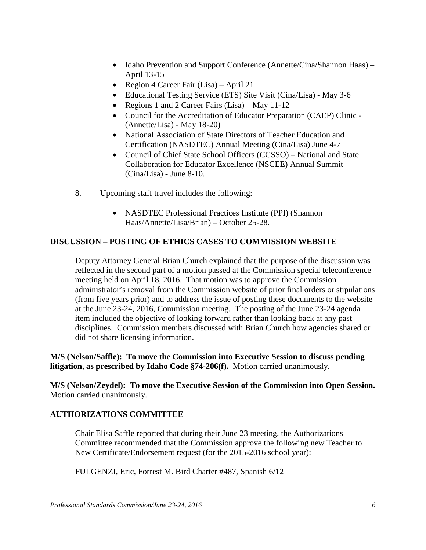- Idaho Prevention and Support Conference (Annette/Cina/Shannon Haas) April 13-15
- Region 4 Career Fair (Lisa) April 21
- Educational Testing Service (ETS) Site Visit (Cina/Lisa) May 3-6
- Regions 1 and 2 Career Fairs (Lisa) May 11-12
- Council for the Accreditation of Educator Preparation (CAEP) Clinic (Annette/Lisa) - May 18-20)
- National Association of State Directors of Teacher Education and Certification (NASDTEC) Annual Meeting (Cina/Lisa) June 4-7
- Council of Chief State School Officers (CCSSO) National and State Collaboration for Educator Excellence (NSCEE) Annual Summit (Cina/Lisa) - June 8-10.
- 8. Upcoming staff travel includes the following:
	- NASDTEC Professional Practices Institute (PPI) (Shannon Haas/Annette/Lisa/Brian) – October 25-28.

## **DISCUSSION – POSTING OF ETHICS CASES TO COMMISSION WEBSITE**

Deputy Attorney General Brian Church explained that the purpose of the discussion was reflected in the second part of a motion passed at the Commission special teleconference meeting held on April 18, 2016. That motion was to approve the Commission administrator's removal from the Commission website of prior final orders or stipulations (from five years prior) and to address the issue of posting these documents to the website at the June 23-24, 2016, Commission meeting. The posting of the June 23-24 agenda item included the objective of looking forward rather than looking back at any past disciplines. Commission members discussed with Brian Church how agencies shared or did not share licensing information.

**M/S (Nelson/Saffle): To move the Commission into Executive Session to discuss pending litigation, as prescribed by Idaho Code §74-206(f).** Motion carried unanimously.

**M/S (Nelson/Zeydel): To move the Executive Session of the Commission into Open Session.** Motion carried unanimously.

## **AUTHORIZATIONS COMMITTEE**

Chair Elisa Saffle reported that during their June 23 meeting, the Authorizations Committee recommended that the Commission approve the following new Teacher to New Certificate/Endorsement request (for the 2015-2016 school year):

FULGENZI, Eric, Forrest M. Bird Charter #487, Spanish 6/12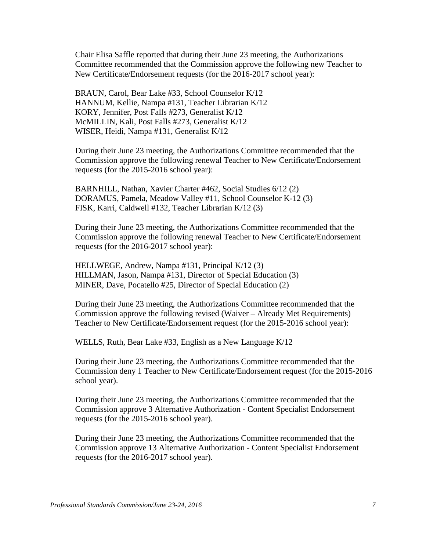Chair Elisa Saffle reported that during their June 23 meeting, the Authorizations Committee recommended that the Commission approve the following new Teacher to New Certificate/Endorsement requests (for the 2016-2017 school year):

BRAUN, Carol, Bear Lake #33, School Counselor K/12 HANNUM, Kellie, Nampa #131, Teacher Librarian K/12 KORY, Jennifer, Post Falls #273, Generalist K/12 McMILLIN, Kali, Post Falls #273, Generalist K/12 WISER, Heidi, Nampa #131, Generalist K/12

During their June 23 meeting, the Authorizations Committee recommended that the Commission approve the following renewal Teacher to New Certificate/Endorsement requests (for the 2015-2016 school year):

BARNHILL, Nathan, Xavier Charter #462, Social Studies 6/12 (2) DORAMUS, Pamela, Meadow Valley #11, School Counselor K-12 (3) FISK, Karri, Caldwell #132, Teacher Librarian K/12 (3)

During their June 23 meeting, the Authorizations Committee recommended that the Commission approve the following renewal Teacher to New Certificate/Endorsement requests (for the 2016-2017 school year):

HELLWEGE, Andrew, Nampa #131, Principal K/12 (3) HILLMAN, Jason, Nampa #131, Director of Special Education (3) MINER, Dave, Pocatello #25, Director of Special Education (2)

During their June 23 meeting, the Authorizations Committee recommended that the Commission approve the following revised (Waiver – Already Met Requirements) Teacher to New Certificate/Endorsement request (for the 2015-2016 school year):

WELLS, Ruth, Bear Lake #33, English as a New Language K/12

During their June 23 meeting, the Authorizations Committee recommended that the Commission deny 1 Teacher to New Certificate/Endorsement request (for the 2015-2016 school year).

During their June 23 meeting, the Authorizations Committee recommended that the Commission approve 3 Alternative Authorization - Content Specialist Endorsement requests (for the 2015-2016 school year).

During their June 23 meeting, the Authorizations Committee recommended that the Commission approve 13 Alternative Authorization - Content Specialist Endorsement requests (for the 2016-2017 school year).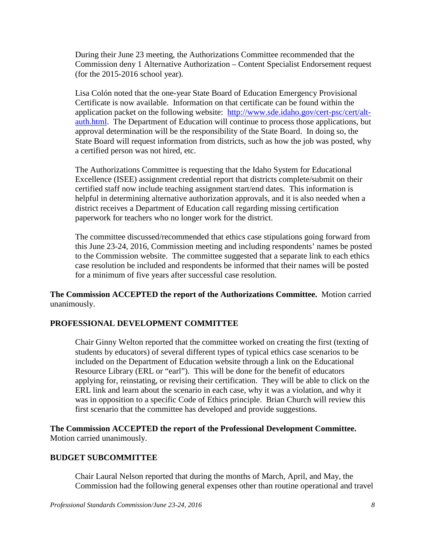During their June 23 meeting, the Authorizations Committee recommended that the Commission deny 1 Alternative Authorization – Content Specialist Endorsement request (for the 2015-2016 school year).

Lisa Colón noted that the one-year State Board of Education Emergency Provisional Certificate is now available. Information on that certificate can be found within the application packet on the following website: [http://www.sde.idaho.gov/cert-psc/cert/alt](http://www.sde.idaho.gov/cert-psc/cert/alt-auth.html)[auth.html.](http://www.sde.idaho.gov/cert-psc/cert/alt-auth.html) The Department of Education will continue to process those applications, but approval determination will be the responsibility of the State Board. In doing so, the State Board will request information from districts, such as how the job was posted, why a certified person was not hired, etc.

The Authorizations Committee is requesting that the Idaho System for Educational Excellence (ISEE) assignment credential report that districts complete/submit on their certified staff now include teaching assignment start/end dates. This information is helpful in determining alternative authorization approvals, and it is also needed when a district receives a Department of Education call regarding missing certification paperwork for teachers who no longer work for the district.

The committee discussed/recommended that ethics case stipulations going forward from this June 23-24, 2016, Commission meeting and including respondents' names be posted to the Commission website. The committee suggested that a separate link to each ethics case resolution be included and respondents be informed that their names will be posted for a minimum of five years after successful case resolution.

**The Commission ACCEPTED the report of the Authorizations Committee.** Motion carried unanimously.

## **PROFESSIONAL DEVELOPMENT COMMITTEE**

Chair Ginny Welton reported that the committee worked on creating the first (texting of students by educators) of several different types of typical ethics case scenarios to be included on the Department of Education website through a link on the Educational Resource Library (ERL or "earl"). This will be done for the benefit of educators applying for, reinstating, or revising their certification. They will be able to click on the ERL link and learn about the scenario in each case, why it was a violation, and why it was in opposition to a specific Code of Ethics principle. Brian Church will review this first scenario that the committee has developed and provide suggestions.

**The Commission ACCEPTED the report of the Professional Development Committee.**  Motion carried unanimously.

#### **BUDGET SUBCOMMITTEE**

Chair Laural Nelson reported that during the months of March, April, and May, the Commission had the following general expenses other than routine operational and travel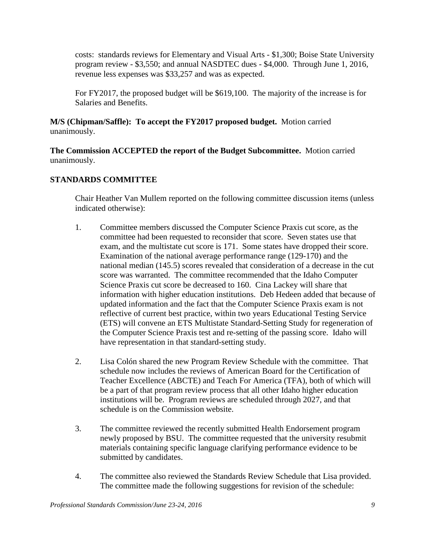costs: standards reviews for Elementary and Visual Arts - \$1,300; Boise State University program review - \$3,550; and annual NASDTEC dues - \$4,000. Through June 1, 2016, revenue less expenses was \$33,257 and was as expected.

For FY2017, the proposed budget will be \$619,100. The majority of the increase is for Salaries and Benefits.

**M/S (Chipman/Saffle): To accept the FY2017 proposed budget.** Motion carried unanimously.

**The Commission ACCEPTED the report of the Budget Subcommittee.** Motion carried unanimously.

# **STANDARDS COMMITTEE**

Chair Heather Van Mullem reported on the following committee discussion items (unless indicated otherwise):

- 1. Committee members discussed the Computer Science Praxis cut score, as the committee had been requested to reconsider that score. Seven states use that exam, and the multistate cut score is 171. Some states have dropped their score. Examination of the national average performance range (129-170) and the national median (145.5) scores revealed that consideration of a decrease in the cut score was warranted. The committee recommended that the Idaho Computer Science Praxis cut score be decreased to 160. Cina Lackey will share that information with higher education institutions. Deb Hedeen added that because of updated information and the fact that the Computer Science Praxis exam is not reflective of current best practice, within two years Educational Testing Service (ETS) will convene an ETS Multistate Standard-Setting Study for regeneration of the Computer Science Praxis test and re-setting of the passing score. Idaho will have representation in that standard-setting study.
- 2. Lisa Colón shared the new Program Review Schedule with the committee. That schedule now includes the reviews of American Board for the Certification of Teacher Excellence (ABCTE) and Teach For America (TFA), both of which will be a part of that program review process that all other Idaho higher education institutions will be. Program reviews are scheduled through 2027, and that schedule is on the Commission website.
- 3. The committee reviewed the recently submitted Health Endorsement program newly proposed by BSU. The committee requested that the university resubmit materials containing specific language clarifying performance evidence to be submitted by candidates.
- 4. The committee also reviewed the Standards Review Schedule that Lisa provided. The committee made the following suggestions for revision of the schedule: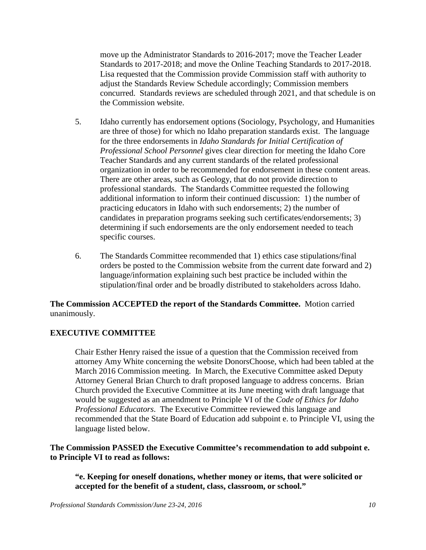move up the Administrator Standards to 2016-2017; move the Teacher Leader Standards to 2017-2018; and move the Online Teaching Standards to 2017-2018. Lisa requested that the Commission provide Commission staff with authority to adjust the Standards Review Schedule accordingly; Commission members concurred. Standards reviews are scheduled through 2021, and that schedule is on the Commission website.

- 5. Idaho currently has endorsement options (Sociology, Psychology, and Humanities are three of those) for which no Idaho preparation standards exist. The language for the three endorsements in *Idaho Standards for Initial Certification of Professional School Personnel* gives clear direction for meeting the Idaho Core Teacher Standards and any current standards of the related professional organization in order to be recommended for endorsement in these content areas. There are other areas, such as Geology, that do not provide direction to professional standards. The Standards Committee requested the following additional information to inform their continued discussion: 1) the number of practicing educators in Idaho with such endorsements; 2) the number of candidates in preparation programs seeking such certificates/endorsements; 3) determining if such endorsements are the only endorsement needed to teach specific courses.
- 6. The Standards Committee recommended that 1) ethics case stipulations/final orders be posted to the Commission website from the current date forward and 2) language/information explaining such best practice be included within the stipulation/final order and be broadly distributed to stakeholders across Idaho.

## **The Commission ACCEPTED the report of the Standards Committee.** Motion carried unanimously.

## **EXECUTIVE COMMITTEE**

Chair Esther Henry raised the issue of a question that the Commission received from attorney Amy White concerning the website DonorsChoose, which had been tabled at the March 2016 Commission meeting. In March, the Executive Committee asked Deputy Attorney General Brian Church to draft proposed language to address concerns. Brian Church provided the Executive Committee at its June meeting with draft language that would be suggested as an amendment to Principle VI of the *Code of Ethics for Idaho Professional Educators*. The Executive Committee reviewed this language and recommended that the State Board of Education add subpoint e. to Principle VI, using the language listed below.

## **The Commission PASSED the Executive Committee's recommendation to add subpoint e. to Principle VI to read as follows:**

**"e. Keeping for oneself donations, whether money or items, that were solicited or accepted for the benefit of a student, class, classroom, or school."**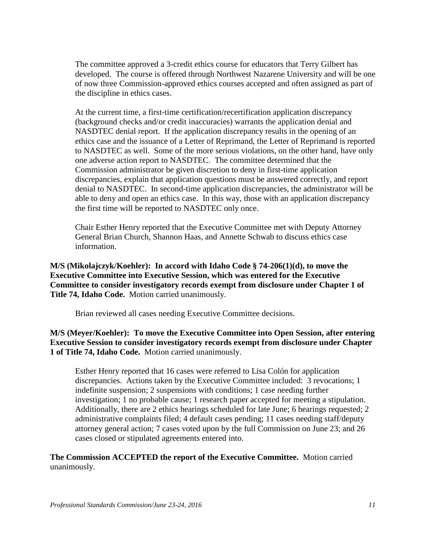The committee approved a 3-credit ethics course for educators that Terry Gilbert has developed. The course is offered through Northwest Nazarene University and will be one of now three Commission-approved ethics courses accepted and often assigned as part of the discipline in ethics cases.

At the current time, a first-time certification/recertification application discrepancy (background checks and/or credit inaccuracies) warrants the application denial and NASDTEC denial report. If the application discrepancy results in the opening of an ethics case and the issuance of a Letter of Reprimand, the Letter of Reprimand is reported to NASDTEC as well. Some of the more serious violations, on the other hand, have only one adverse action report to NASDTEC. The committee determined that the Commission administrator be given discretion to deny in first-time application discrepancies, explain that application questions must be answered correctly, and report denial to NASDTEC. In second-time application discrepancies, the administrator will be able to deny and open an ethics case. In this way, those with an application discrepancy the first time will be reported to NASDTEC only once.

Chair Esther Henry reported that the Executive Committee met with Deputy Attorney General Brian Church, Shannon Haas, and Annette Schwab to discuss ethics case information.

**M/S (Mikolajczyk/Koehler): In accord with Idaho Code § 74-206(1)(d), to move the Executive Committee into Executive Session, which was entered for the Executive Committee to consider investigatory records exempt from disclosure under Chapter 1 of Title 74, Idaho Code.** Motion carried unanimously.

Brian reviewed all cases needing Executive Committee decisions.

**M/S (Meyer/Koehler): To move the Executive Committee into Open Session, after entering Executive Session to consider investigatory records exempt from disclosure under Chapter 1 of Title 74, Idaho Code.** Motion carried unanimously.

Esther Henry reported that 16 cases were referred to Lisa Colón for application discrepancies. Actions taken by the Executive Committee included: 3 revocations; 1 indefinite suspension; 2 suspensions with conditions; 1 case needing further investigation; 1 no probable cause; 1 research paper accepted for meeting a stipulation. Additionally, there are 2 ethics hearings scheduled for late June; 6 hearings requested; 2 administrative complaints filed; 4 default cases pending; 11 cases needing staff/deputy attorney general action; 7 cases voted upon by the full Commission on June 23; and 26 cases closed or stipulated agreements entered into.

#### **The Commission ACCEPTED the report of the Executive Committee.** Motion carried unanimously.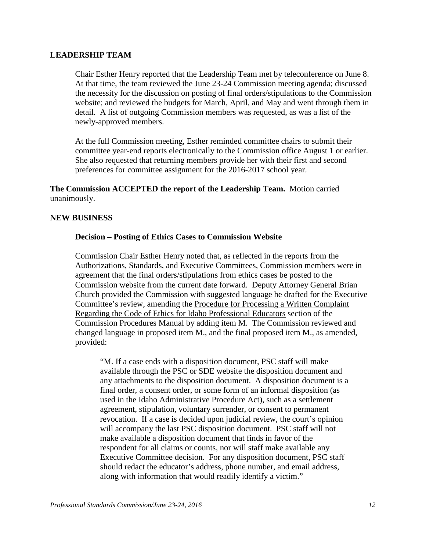#### **LEADERSHIP TEAM**

Chair Esther Henry reported that the Leadership Team met by teleconference on June 8. At that time, the team reviewed the June 23-24 Commission meeting agenda; discussed the necessity for the discussion on posting of final orders/stipulations to the Commission website; and reviewed the budgets for March, April, and May and went through them in detail. A list of outgoing Commission members was requested, as was a list of the newly-approved members.

At the full Commission meeting, Esther reminded committee chairs to submit their committee year-end reports electronically to the Commission office August 1 or earlier. She also requested that returning members provide her with their first and second preferences for committee assignment for the 2016-2017 school year.

**The Commission ACCEPTED the report of the Leadership Team.** Motion carried unanimously.

#### **NEW BUSINESS**

#### **Decision – Posting of Ethics Cases to Commission Website**

Commission Chair Esther Henry noted that, as reflected in the reports from the Authorizations, Standards, and Executive Committees, Commission members were in agreement that the final orders/stipulations from ethics cases be posted to the Commission website from the current date forward. Deputy Attorney General Brian Church provided the Commission with suggested language he drafted for the Executive Committee's review, amending the Procedure for Processing a Written Complaint Regarding the Code of Ethics for Idaho Professional Educators section of the Commission Procedures Manual by adding item M. The Commission reviewed and changed language in proposed item M., and the final proposed item M., as amended, provided:

"M. If a case ends with a disposition document, PSC staff will make available through the PSC or SDE website the disposition document and any attachments to the disposition document. A disposition document is a final order, a consent order, or some form of an informal disposition (as used in the Idaho Administrative Procedure Act), such as a settlement agreement, stipulation, voluntary surrender, or consent to permanent revocation. If a case is decided upon judicial review, the court's opinion will accompany the last PSC disposition document. PSC staff will not make available a disposition document that finds in favor of the respondent for all claims or counts, nor will staff make available any Executive Committee decision. For any disposition document, PSC staff should redact the educator's address, phone number, and email address, along with information that would readily identify a victim."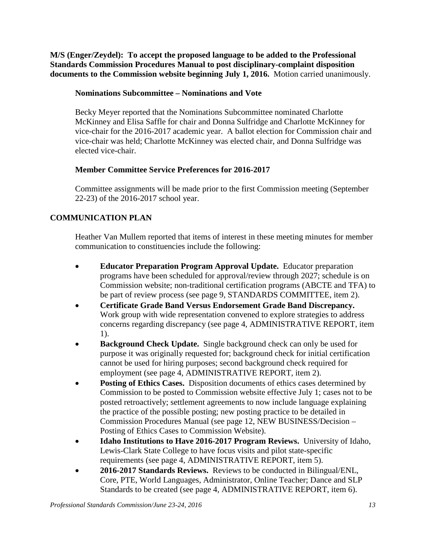**M/S (Enger/Zeydel): To accept the proposed language to be added to the Professional Standards Commission Procedures Manual to post disciplinary-complaint disposition documents to the Commission website beginning July 1, 2016.** Motion carried unanimously.

# **Nominations Subcommittee – Nominations and Vote**

Becky Meyer reported that the Nominations Subcommittee nominated Charlotte McKinney and Elisa Saffle for chair and Donna Sulfridge and Charlotte McKinney for vice-chair for the 2016-2017 academic year. A ballot election for Commission chair and vice-chair was held; Charlotte McKinney was elected chair, and Donna Sulfridge was elected vice-chair.

# **Member Committee Service Preferences for 2016-2017**

Committee assignments will be made prior to the first Commission meeting (September 22-23) of the 2016-2017 school year.

# **COMMUNICATION PLAN**

Heather Van Mullem reported that items of interest in these meeting minutes for member communication to constituencies include the following:

- **Educator Preparation Program Approval Update.** Educator preparation programs have been scheduled for approval/review through 2027; schedule is on Commission website; non-traditional certification programs (ABCTE and TFA) to be part of review process (see page 9, STANDARDS COMMITTEE, item 2).
- **Certificate Grade Band Versus Endorsement Grade Band Discrepancy.**  Work group with wide representation convened to explore strategies to address concerns regarding discrepancy (see page 4, ADMINISTRATIVE REPORT, item 1).
- **Background Check Update.** Single background check can only be used for purpose it was originally requested for; background check for initial certification cannot be used for hiring purposes; second background check required for employment (see page 4, ADMINISTRATIVE REPORT, item 2).
- **Posting of Ethics Cases.** Disposition documents of ethics cases determined by Commission to be posted to Commission website effective July 1; cases not to be posted retroactively; settlement agreements to now include language explaining the practice of the possible posting; new posting practice to be detailed in Commission Procedures Manual (see page 12, NEW BUSINESS/Decision – Posting of Ethics Cases to Commission Website).
- **Idaho Institutions to Have 2016-2017 Program Reviews.** University of Idaho, Lewis-Clark State College to have focus visits and pilot state-specific requirements (see page 4, ADMINISTRATIVE REPORT, item 5).
- **2016-2017 Standards Reviews.** Reviews to be conducted in Bilingual/ENL, Core, PTE, World Languages, Administrator, Online Teacher; Dance and SLP Standards to be created (see page 4, ADMINISTRATIVE REPORT, item 6).